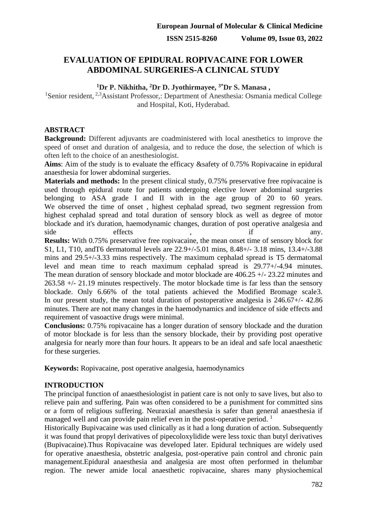# **EVALUATION OF EPIDURAL ROPIVACAINE FOR LOWER ABDOMINAL SURGERIES-A CLINICAL STUDY**

# **<sup>1</sup>Dr P. Nikhitha, <sup>2</sup>Dr D. Jyothirmayee, 3\*Dr S. Manasa ,**

<sup>1</sup>Senior resident,  $2.3$ Assistant Professor,: Department of Anesthesia: Osmania medical College and Hospital, Koti, Hyderabad.

# **ABSTRACT**

**Background:** Different adjuvants are coadministered with local anesthetics to improve the speed of onset and duration of analgesia, and to reduce the dose, the selection of which is often left to the choice of an anesthesiologist.

**Aims**: Aim of the study is to evaluate the efficacy &safety of 0.75% Ropivacaine in epidural anaesthesia for lower abdominal surgeries.

**Materials and methods:** In the present clinical study, 0.75% preservative free ropivacaine is used through epidural route for patients undergoing elective lower abdominal surgeries belonging to ASA grade I and II with in the age group of 20 to 60 years. We observed the time of onset , highest cephalad spread, two segment regression from highest cephalad spread and total duration of sensory block as well as degree of motor blockade and it's duration, haemodynamic changes, duration of post operative analgesia and side effects , if any. **Results:** With 0.75% preservative free ropivacaine, the mean onset time of sensory block for S1, L1, T10, andT6 dermatomal levels are 22.9+/-5.01 mins, 8.48+/- 3.18 mins, 13.4+/-3.88 mins and 29.5+/-3.33 mins respectively. The maximum cephalad spread is T5 dermatomal level and mean time to reach maximum cephalad spread is 29.77+/-4.94 minutes. The mean duration of sensory blockade and motor blockade are 406.25 +/- 23.22 minutes and 263.58 +/- 21.19 minutes respectively. The motor blockade time is far less than the sensory blockade. Only 6.66% of the total patients achieved the Modified Bromage scale3. In our present study, the mean total duration of postoperative analgesia is 246.67+/- 42.86 minutes. There are not many changes in the haemodynamics and incidence of side effects and requirement of vasoactive drugs were minimal.

**Conclusions:** 0.75% ropivacaine has a longer duration of sensory blockade and the duration of motor blockade is for less than the sensory blockade, their by providing post operative analgesia for nearly more than four hours. It appears to be an ideal and safe local anaesthetic for these surgeries.

**Keywords:** Ropivacaine, post operative analgesia, haemodynamics

# **INTRODUCTION**

The principal function of anaesthesiologist in patient care is not only to save lives, but also to relieve pain and suffering. Pain was often considered to be a punishment for committed sins or a form of religious suffering. Neuraxial anaesthesia is safer than general anaesthesia if managed well and can provide pain relief even in the post-operative period.  $<sup>1</sup>$ </sup>

Historically Bupivacaine was used clinically as it had a long duration of action. Subsequently it was found that propyl derivatives of pipecoloxylidide were less toxic than butyl derivatives (Bupivacaine).Thus Ropivacaine was developed later. Epidural techniques are widely used for operative anaesthesia, obstetric analgesia, post-operative pain control and chronic pain management.Epidural anaesthesia and analgesia are most often performed in thelumbar region. The newer amide local anaesthetic ropivacaine, shares many physiochemical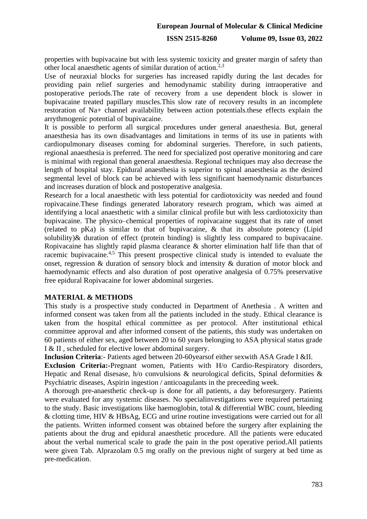### **ISSN 2515-8260 Volume 09, Issue 03, 2022**

properties with bupivacaine but with less systemic toxicity and greater margin of safety than other local anaesthetic agents of similar duration of action.2,3

Use of neuraxial blocks for surgeries has increased rapidly during the last decades for providing pain relief surgeries and hemodynamic stability during intraoperative and postoperative periods.The rate of recovery from a use dependent block is slower in bupivacaine treated papillary muscles.This slow rate of recovery results in an incomplete restoration of Na+ channel availability between action potentials.these effects explain the arrythmogenic potential of bupivacaine.

It is possible to perform all surgical procedures under general anaesthesia. But, general anaesthesia has its own disadvantages and limitations in terms of its use in patients with cardiopulmonary diseases coming for abdominal surgeries. Therefore, in such patients, regional anaesthesia is preferred. The need for specialized post operative monitoring and care is minimal with regional than general anaesthesia. Regional techniques may also decrease the length of hospital stay. Epidural anaesthesia is superior to spinal anaesthesia as the desired segmental level of block can be achieved with less significant haemodynamic disturbances and increases duration of block and postoperative analgesia.

Research for a local anaesthetic with less potential for cardiotoxicity was needed and found ropivacaine.These findings generated laboratory research program, which was aimed at identifying a local anaesthetic with a similar clinical profile but with less cardiotoxicity than bupivacaine. The physico–chemical properties of ropivacaine suggest that its rate of onset (related to pKa) is similar to that of bupivacaine, & that its absolute potency (Lipid solubility)& duration of effect (protein binding) is slightly less compared to bupivacaine. Ropivacaine has slightly rapid plasma clearance & shorter elimination half life than that of racemic bupivacaine.<sup>4,5</sup> This present prospective clinical study is intended to evaluate the onset, regression & duration of sensory block and intensity & duration of motor block and haemodynamic effects and also duration of post operative analgesia of 0.75% preservative free epidural Ropivacaine for lower abdominal surgeries.

### **MATERIAL & METHODS**

This study is a prospective study conducted in Department of Anethesia . A written and informed consent was taken from all the patients included in the study. Ethical clearance is taken from the hospital ethical committee as per protocol. After institutional ethical committee approval and after informed consent of the patients, this study was undertaken on 60 patients of either sex, aged between 20 to 60 years belonging to ASA physical status grade I & II , scheduled for elective lower abdominal surgery.

**Inclusion Criteria**:- Patients aged between 20-60yearsof either sexwith ASA Grade I &II.

**Exclusion Criteria:-**Pregnant women, Patients with H/o Cardio-Respiratory disorders, Hepatic and Renal disesase, h/o convulsions & neurological deficits, Spinal deformities & Psychiatric diseases, Aspirin ingestion / anticoagulants in the preceeding week.

A thorough pre-anaesthetic check-up is done for all patients, a day beforesurgery. Patients were evaluated for any systemic diseases. No specialinvestigations were required pertaining to the study. Basic investigations like haemoglobin, total & differential WBC count, bleeding & clotting time, HIV & HBsAg, ECG and urine routine investigations were carried out for all the patients. Written informed consent was obtained before the surgery after explaining the patients about the drug and epidural anaesthetic procedure. All the patients were educated about the verbal numerical scale to grade the pain in the post operative period.All patients were given Tab. Alprazolam 0.5 mg orally on the previous night of surgery at bed time as pre-medication.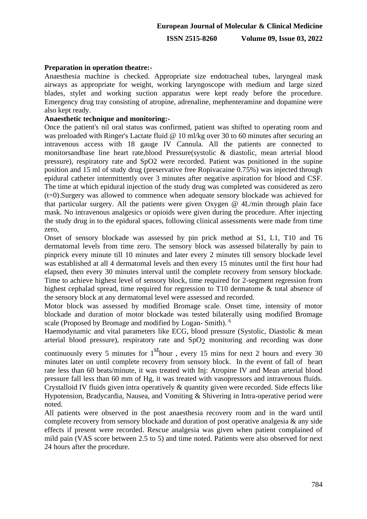### **Preparation in operation theatre:-**

Anaesthesia machine is checked. Appropriate size endotracheal tubes, laryngeal mask airways as appropriate for weight, working laryngoscope with medium and large sized blades, stylet and working suction apparatus were kept ready before the procedure. Emergency drug tray consisting of atropine, adrenaline, mephenteramine and dopamine were also kept ready.

### **Anaesthetic technique and monitoring:-**

Once the patient's nil oral status was confirmed, patient was shifted to operating room and was preloaded with Ringer's Lactate fluid @ 10 ml/kg over 30 to 60 minutes after securing an intravenous access with 18 gauge IV Cannula. All the patients are connected to monitorsandbase line heart rate,blood Pressure(systolic & diastolic, mean arterial blood pressure), respiratory rate and SpO2 were recorded. Patient was positioned in the supine position and 15 ml of study drug (preservative free Ropivacaine 0.75%) was injected through epidural catheter intermittently over 3 minutes after negative aspiration for blood and CSF. The time at which epidural injection of the study drug was completed was considered as zero (t=0).Surgery was allowed to commence when adequate sensory blockade was achieved for that particular surgery. All the patients were given Oxygen @ 4L/min through plain face mask. No intravenous analgesics or opioids were given during the procedure. After injecting the study drug in to the epidural spaces, following clinical assessments were made from time zero,

Onset of sensory blockade was assessed by pin prick method at S1, L1, T10 and T6 dermatomal levels from time zero. The sensory block was assessed bilaterally by pain to pinprick every minute till 10 minutes and later every 2 minutes till sensory blockade level was established at all 4 dermatomal levels and then every 15 minutes until the first hour had elapsed, then every 30 minutes interval until the complete recovery from sensory blockade. Time to achieve highest level of sensory block, time required for 2-segment regression from highest cephalad spread, time required for regression to T10 dermatome & total absence of the sensory block at any dermatomal level were assessed and recorded.

Motor block was assessed by modified Bromage scale. Onset time, intensity of motor blockade and duration of motor blockade was tested bilaterally using modified Bromage scale (Proposed by Bromage and modified by Logan- Smith). <sup>6</sup>

Haemodynamic and vital parameters like ECG, blood pressure (Systolic, Diastolic & mean arterial blood pressure), respiratory rate and SpO2 monitoring and recording was done

continuously every 5 minutes for  $1<sup>st</sup>$  hour, every 15 mins for next 2 hours and every 30 minutes later on until complete recovery from sensory block. In the event of fall of heart rate less than 60 beats/minute, it was treated with Inj: Atropine IV and Mean arterial blood pressure fall less than 60 mm of Hg, it was treated with vasopressors and intravenous fluids. Crystalloid IV fluids given intra operatively & quantity given were recorded. Side effects like Hypotension, Bradycardia, Nausea, and Vomiting & Shivering in Intra-operative period were noted.

All patients were observed in the post anaesthesia recovery room and in the ward until complete recovery from sensory blockade and duration of post operative analgesia & any side effects if present were recorded. Rescue analgesia was given when patient complained of mild pain (VAS score between 2.5 to 5) and time noted. Patients were also observed for next 24 hours after the procedure.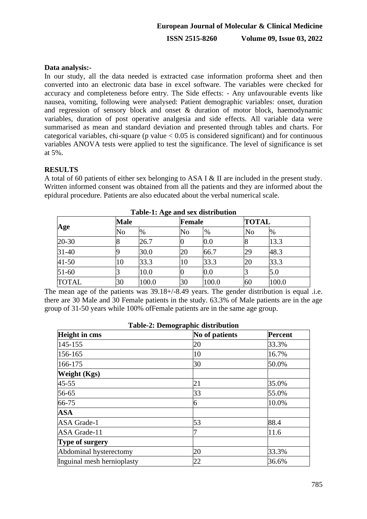# **Data analysis:-**

In our study, all the data needed is extracted case information proforma sheet and then converted into an electronic data base in excel software. The variables were checked for accuracy and completeness before entry. The Side effects: - Any unfavourable events like nausea, vomiting, following were analysed: Patient demographic variables: onset, duration and regression of sensory block and onset & duration of motor block, haemodynamic variables, duration of post operative analgesia and side effects. All variable data were summarised as mean and standard deviation and presented through tables and charts. For categorical variables, chi-square ( $p$  value  $< 0.05$  is considered significant) and for continuous variables ANOVA tests were applied to test the significance. The level of significance is set at 5%.

# **RESULTS**

A total of 60 patients of either sex belonging to ASA I & II are included in the present study. Written informed consent was obtained from all the patients and they are informed about the epidural procedure. Patients are also educated about the verbal numerical scale.

| Age          |    | ັ<br><b>Male</b> |    | Female |          | <b>TOTAL</b> |  |
|--------------|----|------------------|----|--------|----------|--------------|--|
|              | No | %                | No | $\%$   | $\rm No$ | $\%$         |  |
| $20 - 30$    |    | 26.7             |    | 0.0    |          | 13.3         |  |
| $31-40$      |    | 30.0             | 20 | 66.7   | 29       | 48.3         |  |
| $41 - 50$    | 10 | 33.3             | 10 | 33.3   | 20       | 33.3         |  |
| $51-60$      |    | 10.0             |    | 0.0    |          | 5.0          |  |
| <b>TOTAL</b> | 30 | 100.0            | 30 | 100.0  | 60       | 100.0        |  |

**Table-1: Age and sex distribution**

The mean age of the patients was 39.18+/-8.49 years. The gender distribution is equal .i.e. there are 30 Male and 30 Female patients in the study. 63.3% of Male patients are in the age group of 31-50 years while 100% ofFemale patients are in the same age group.

| <b>Table-2: Demographic distribution</b>                 |    |       |  |  |
|----------------------------------------------------------|----|-------|--|--|
| <b>Height in cms</b><br>No of patients<br><b>Percent</b> |    |       |  |  |
| 145-155                                                  | 20 | 33.3% |  |  |
| 156-165                                                  | 10 | 16.7% |  |  |
| 166-175                                                  | 30 | 50.0% |  |  |
| <b>Weight</b> (Kgs)                                      |    |       |  |  |
| $45 - 55$                                                | 21 | 35.0% |  |  |
| 56-65                                                    | 33 | 55.0% |  |  |
| 66-75                                                    | 6  | 10.0% |  |  |
| <b>ASA</b>                                               |    |       |  |  |
| <b>ASA</b> Grade-1                                       | 53 | 88.4  |  |  |
| ASA Grade-11                                             |    | 11.6  |  |  |
| Type of surgery                                          |    |       |  |  |
| Abdominal hysterectomy                                   | 20 | 33.3% |  |  |
| Inguinal mesh hernioplasty                               | 22 | 36.6% |  |  |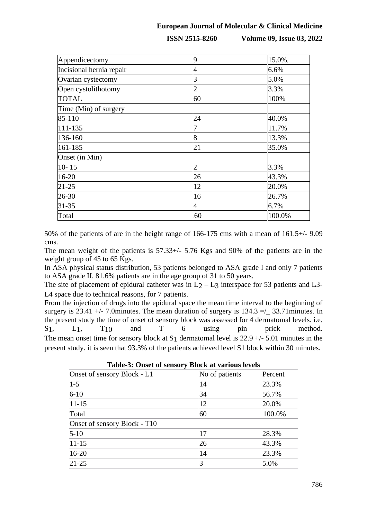**ISSN 2515-8260 Volume 09, Issue 03, 2022**

| Appendicectomy           | q  | 15.0%  |
|--------------------------|----|--------|
| Incisional hernia repair | 4  | 6.6%   |
| Ovarian cystectomy       |    | 5.0%   |
| Open cystolithotomy      | 2  | 3.3%   |
| <b>TOTAL</b>             | 60 | 100%   |
| Time (Min) of surgery    |    |        |
| 85-110                   | 24 | 40.0%  |
| 111-135                  |    | 11.7%  |
| 136-160                  | 8  | 13.3%  |
| 161-185                  | 21 | 35.0%  |
| Onset (in Min)           |    |        |
| $10 - 15$                | 2  | 3.3%   |
| 16-20                    | 26 | 43.3%  |
| $21 - 25$                | 12 | 20.0%  |
| 26-30                    | 16 | 26.7%  |
| $31 - 35$                | 4  | 6.7%   |
| Total                    | 60 | 100.0% |

50% of the patients of are in the height range of 166-175 cms with a mean of 161.5+/- 9.09 cms.

The mean weight of the patients is 57.33+/- 5.76 Kgs and 90% of the patients are in the weight group of 45 to 65 Kgs.

In ASA physical status distribution, 53 patients belonged to ASA grade I and only 7 patients to ASA grade II. 81.6% patients are in the age group of 31 to 50 years.

The site of placement of epidural catheter was in  $L_2 - L_3$  interspace for 53 patients and L3-L4 space due to technical reasons, for 7 patients.

From the injection of drugs into the epidural space the mean time interval to the beginning of surgery is 23.41 +/- 7.0minutes. The mean duration of surgery is  $134.3 = /$  33.71 minutes. In the present study the time of onset of sensory block was assessed for 4 dermatomal levels. i.e. S<sub>1</sub>, L<sub>1</sub>, T<sub>10</sub> and T 6 using pin prick method. The mean onset time for sensory block at S<sub>1</sub> dermatomal level is  $22.9 +/- 5.01$  minutes in the present study. it is seen that 93.3% of the patients achieved level S1 block within 30 minutes.

| Table-5: Offset of sensory Diock at various levels |         |  |  |  |
|----------------------------------------------------|---------|--|--|--|
| No of patients                                     | Percent |  |  |  |
| 14                                                 | 23.3%   |  |  |  |
| 34                                                 | 56.7%   |  |  |  |
| 12                                                 | 20.0%   |  |  |  |
| 60                                                 | 100.0%  |  |  |  |
|                                                    |         |  |  |  |
| 17                                                 | 28.3%   |  |  |  |
| 26                                                 | 43.3%   |  |  |  |
| 14                                                 | 23.3%   |  |  |  |
| 3                                                  | 5.0%    |  |  |  |
|                                                    |         |  |  |  |

**Table-3: Onset of sensory Block at various levels**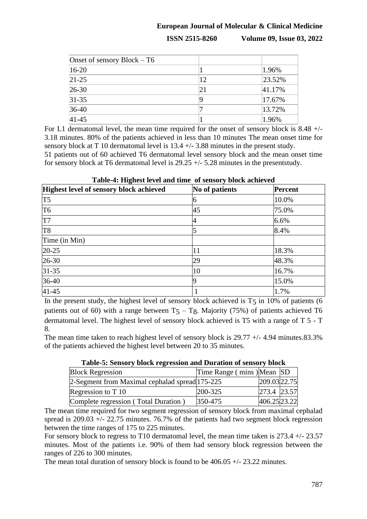**ISSN 2515-8260 Volume 09, Issue 03, 2022**

| Onset of sensory $Block - T6$ |    |        |
|-------------------------------|----|--------|
| $16-20$                       |    | 1.96%  |
| $21 - 25$                     | 12 | 23.52% |
| $26 - 30$                     | 21 | 41.17% |
| $31 - 35$                     |    | 17.67% |
| $36-40$                       |    | 13.72% |
| $41 - 45$                     |    | 1.96%  |

For L1 dermatomal level, the mean time required for the onset of sensory block is 8.48 +/- 3.18 minutes. 80% of the patients achieved in less than 10 minutes The mean onset time for sensory block at T 10 dermatomal level is 13.4 +/- 3.88 minutes in the present study. 51 patients out of 60 achieved T6 dermatomal level sensory block and the mean onset time for sensory block at T6 dermatomal level is 29.25 +/- 5.28 minutes in the presentstudy.

| Table-4: Highest level and time of sensory block achieved                   |    |       |  |  |
|-----------------------------------------------------------------------------|----|-------|--|--|
| Highest level of sensory block achieved<br>No of patients<br><b>Percent</b> |    |       |  |  |
| T <sub>5</sub>                                                              |    | 10.0% |  |  |
| T <sub>6</sub>                                                              | 45 | 75.0% |  |  |
| T <sub>7</sub>                                                              |    | 6.6%  |  |  |
| T <sub>8</sub>                                                              |    | 8.4%  |  |  |
| Time (in Min)                                                               |    |       |  |  |
| $20 - 25$                                                                   | 11 | 18.3% |  |  |
| $26-30$                                                                     | 29 | 48.3% |  |  |
| $31 - 35$                                                                   | 10 | 16.7% |  |  |
| $36-40$                                                                     |    | 15.0% |  |  |
| $41 - 45$                                                                   |    | 1.7%  |  |  |

In the present study, the highest level of sensory block achieved is  $T_5$  in 10% of patients (6 patients out of 60) with a range between  $T_5 - T_8$ . Majority (75%) of patients achieved T6 dermatomal level. The highest level of sensory block achieved is T5 with a range of T 5 - T 8.

The mean time taken to reach highest level of sensory block is  $29.77 + (-4.94$  minutes.83.3% of the patients achieved the highest level between 20 to 35 minutes.

| Table-5; Delisof y block regression and Duration of sensor y block |                           |               |  |
|--------------------------------------------------------------------|---------------------------|---------------|--|
| <b>Block Regression</b>                                            | Time Range (mins) Mean SD |               |  |
| 2-Segment from Maximal cephalad spread 175-225                     |                           | 209.03 22.75  |  |
| Regression to T 10                                                 | $200 - 325$               | $273.4$ 23.57 |  |
| Complete regression (Total Duration)                               | 350-475                   | 406.25 23.22  |  |

# **Table-5: Sensory block regression and Duration of sensory block**

The mean time required for two segment regression of sensory block from maximal cephalad spread is 209.03 +/- 22.75 minutes. 76.7% of the patients had two segment block regression between the time ranges of 175 to 225 minutes.

For sensory block to regress to T10 dermatomal level, the mean time taken is 273.4 +/- 23.57 minutes. Most of the patients i.e. 90% of them had sensory block regression between the ranges of 226 to 300 minutes.

The mean total duration of sensory block is found to be 406.05 +/- 23.22 minutes.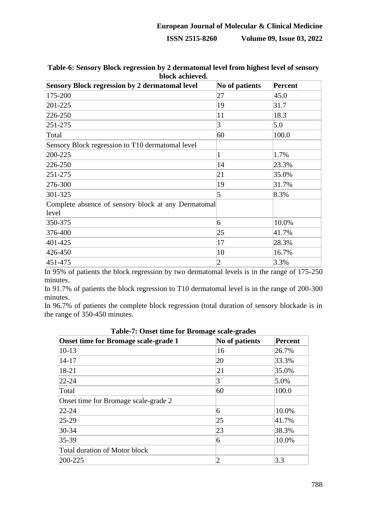# **European Journal of Molecular & Clinical Medicine ISSN 2515-8260 Volume 09, Issue 03, 2022**

| <b>Sensory Block regression by 2 dermatomal level</b>        | No of patients | <b>Percent</b> |
|--------------------------------------------------------------|----------------|----------------|
| 175-200                                                      | 27             | 45.0           |
| 201-225                                                      | 19             | 31.7           |
| 226-250                                                      | 11             | 18.3           |
| $251 - 275$                                                  | 3              | 5.0            |
| Total                                                        | 60             | 100.0          |
| Sensory Block regression to T10 dermatomal level             |                |                |
| 200-225                                                      | 1              | 1.7%           |
| 226-250                                                      | 14             | 23.3%          |
| $251 - 275$                                                  | 21             | 35.0%          |
| 276-300                                                      | 19             | 31.7%          |
| 301-325                                                      | 5              | 8.3%           |
| Complete absence of sensory block at any Dermatomal<br>level |                |                |
| 350-375                                                      | 6              | 10.0%          |
| 376-400                                                      | 25             | 41.7%          |
| 401-425                                                      | 17             | 28.3%          |
| 426-450                                                      | 10             | 16.7%          |
| 451-475                                                      | $\overline{2}$ | 3.3%           |

**Table-6: Sensory Block regression by 2 dermatomal level from highest level of sensory block achieved.**

In 95% of patients the block regression by two dermatomal levels is in the range of 175-250 minutes.

In 91.7% of patients the block regression to T10 dermatomal level is in the range of 200-300 minutes.

In 96.7% of patients the complete block regression (total duration of sensory blockade is in the range of 350-450 minutes.

| Tuble 11 Onber mille for Dromage beare graded<br><b>Onset time for Bromage scale-grade 1</b> | No of patients | <b>Percent</b> |
|----------------------------------------------------------------------------------------------|----------------|----------------|
| $10-13$                                                                                      | 16             | 26.7%          |
| $14 - 17$                                                                                    | 20             | 33.3%          |
| 18-21                                                                                        | 21             | 35.0%          |
| $22 - 24$                                                                                    | 3              | 5.0%           |
| Total                                                                                        | 60             | 100.0          |
| Onset time for Bromage scale-grade 2                                                         |                |                |
| $22 - 24$                                                                                    | 6              | 10.0%          |
| $25-29$                                                                                      | 25             | 41.7%          |
| 30-34                                                                                        | 23             | 38.3%          |
| 35-39                                                                                        | 6              | 10.0%          |
| Total duration of Motor block                                                                |                |                |
| 200-225                                                                                      | 2              | 3.3            |

**Table-7: Onset time for Bromage scale-grades**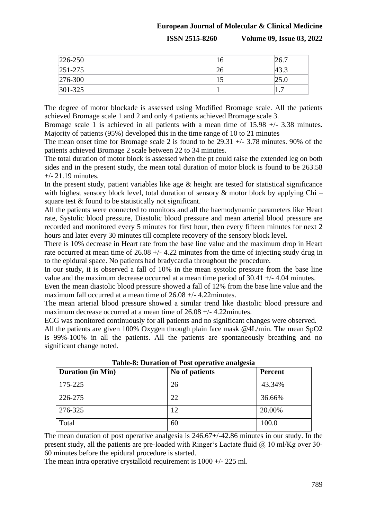**ISSN 2515-8260 Volume 09, Issue 03, 2022**

| 226-250     | 16 | 26.7                |
|-------------|----|---------------------|
| $251 - 275$ | 26 | 43.3                |
| 276-300     | 15 | 25.0                |
| 301-325     |    | $\overline{ }$<br>. |

The degree of motor blockade is assessed using Modified Bromage scale. All the patients achieved Bromage scale 1 and 2 and only 4 patients achieved Bromage scale 3.

Bromage scale 1 is achieved in all patients with a mean time of  $15.98 +/- 3.38$  minutes. Majority of patients (95%) developed this in the time range of 10 to 21 minutes

The mean onset time for Bromage scale 2 is found to be 29.31 +/- 3.78 minutes. 90% of the patients achieved Bromage 2 scale between 22 to 34 minutes.

The total duration of motor block is assessed when the pt could raise the extended leg on both sides and in the present study, the mean total duration of motor block is found to be 263.58  $+/- 21.19$  minutes.

In the present study, patient variables like age  $\&$  height are tested for statistical significance with highest sensory block level, total duration of sensory  $\&$  motor block by applying Chi – square test & found to be statistically not significant.

All the patients were connected to monitors and all the haemodynamic parameters like Heart rate, Systolic blood pressure, Diastolic blood pressure and mean arterial blood pressure are recorded and monitored every 5 minutes for first hour, then every fifteen minutes for next 2 hours and later every 30 minutes till complete recovery of the sensory block level.

There is 10% decrease in Heart rate from the base line value and the maximum drop in Heart rate occurred at mean time of 26.08 +/- 4.22 minutes from the time of injecting study drug in to the epidural space. No patients had bradycardia throughout the procedure.

In our study, it is observed a fall of 10% in the mean systolic pressure from the base line value and the maximum decrease occurred at a mean time period of 30.41 +/- 4.04 minutes.

Even the mean diastolic blood pressure showed a fall of 12% from the base line value and the maximum fall occurred at a mean time of 26.08 +/- 4.22minutes.

The mean arterial blood pressure showed a similar trend like diastolic blood pressure and maximum decrease occurred at a mean time of 26.08 +/- 4.22minutes.

ECG was monitored continuously for all patients and no significant changes were observed.

All the patients are given 100% Oxygen through plain face mask @4L/min. The mean SpO2 is 99%-100% in all the patients. All the patients are spontaneously breathing and no significant change noted.

| <b>Duration (in Min)</b> | No of patients | <b>Percent</b> |
|--------------------------|----------------|----------------|
| 175-225                  | 26             | 43.34%         |
| 226-275                  | 22             | 36.66%         |
| 276-325                  | 12             | 20.00%         |
| Total                    | 60             | 100.0          |

**Table-8: Duration of Post operative analgesia**

The mean duration of post operative analgesia is 246.67+/-42.86 minutes in our study. In the present study, all the patients are pre-loaded with Ringer's Lactate fluid  $\omega$  10 ml/Kg over 30-60 minutes before the epidural procedure is started.

The mean intra operative crystalloid requirement is 1000 +/- 225 ml.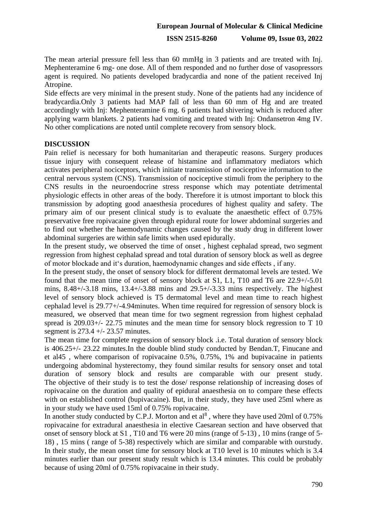**ISSN 2515-8260 Volume 09, Issue 03, 2022**

The mean arterial pressure fell less than 60 mmHg in 3 patients and are treated with Inj. Mephenteramine 6 mg- one dose. All of them responded and no further dose of vasopressors agent is required. No patients developed bradycardia and none of the patient received Inj Atropine.

Side effects are very minimal in the present study. None of the patients had any incidence of bradycardia.Only 3 patients had MAP fall of less than 60 mm of Hg and are treated accordingly with Inj: Mephenteramine 6 mg. 6 patients had shivering which is reduced after applying warm blankets. 2 patients had vomiting and treated with Inj: Ondansetron 4mg IV. No other complications are noted until complete recovery from sensory block.

# **DISCUSSION**

Pain relief is necessary for both humanitarian and therapeutic reasons. Surgery produces tissue injury with consequent release of histamine and inflammatory mediators which activates peripheral nociceptors, which initiate transmission of nociceptive information to the central nervous system (CNS). Transmission of nociceptive stimuli from the periphery to the CNS results in the neuroendocrine stress response which may potentiate detrimental physiologic effects in other areas of the body. Therefore it is utmost important to block this transmission by adopting good anaesthesia procedures of highest quality and safety. The primary aim of our present clinical study is to evaluate the anaesthetic effect of 0.75% preservative free ropivacaine given through epidural route for lower abdominal surgeries and to find out whether the haemodynamic changes caused by the study drug in different lower abdominal surgeries are within safe limits when used epidurally.

In the present study, we observed the time of onset , highest cephalad spread, two segment regression from highest cephalad spread and total duration of sensory block as well as degree of motor blockade and it's duration, haemodynamic changes and side effects , if any.

In the present study, the onset of sensory block for different dermatomal levels are tested. We found that the mean time of onset of sensory block at S1, L1, T10 and T6 are 22.9+/-5.01 mins, 8.48+/-3.18 mins, 13.4+/-3.88 mins and 29.5+/-3.33 mins respectively. The highest level of sensory block achieved is T5 dermatomal level and mean time to reach highest cephalad level is 29.77+/-4.94minutes. When time required for regression of sensory block is measured, we observed that mean time for two segment regression from highest cephalad spread is 209.03+/- 22.75 minutes and the mean time for sensory block regression to T 10 segment is 273.4 +/- 23.57 minutes.

The mean time for complete regression of sensory block .i.e. Total duration of sensory block is 406.25+/- 23.22 minutes.In the double blind study conducted by Bendan.T, Finucane and et al45 , where comparison of ropivacaine 0.5%, 0.75%, 1% and bupivacaine in patients undergoing abdominal hysterectomy, they found similar results for sensory onset and total duration of sensory block and results are comparable with our present study. The objective of their study is to test the dose/ response relationship of increasing doses of ropivacaine on the duration and quality of epidural anaesthesia on to compare these effects with on established control (bupivacaine). But, in their study, they have used 25ml where as in your study we have used 15ml of 0.75% ropivacaine.

In another study conducted by C.P.J. Morton and et  $al^8$ , where they have used 20ml of 0.75% ropivacaine for extradural anaesthesia in elective Caesarean section and have observed that onset of sensory block at S1 , T10 and T6 were 20 mins (range of 5-13) , 10 mins (range of 5- 18) , 15 mins ( range of 5-38) respectively which are similar and comparable with ourstudy. In their study, the mean onset time for sensory block at T10 level is 10 minutes which is 3.4 minutes earlier than our present study result which is 13.4 minutes. This could be probably because of using 20ml of 0.75% ropivacaine in their study.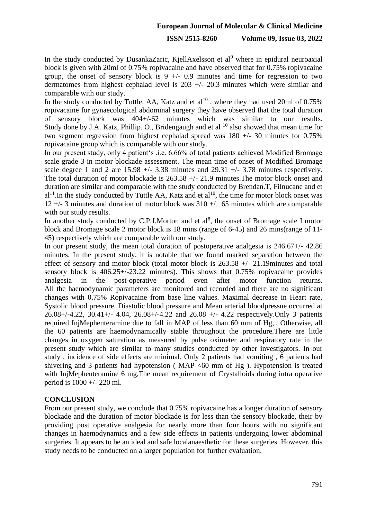### **ISSN 2515-8260 Volume 09, Issue 03, 2022**

In the study conducted by DusankaZaric, KjellAxelsson et al<sup>9</sup> where in epidural neuroaxial block is given with 20ml of 0.75% ropivacaine and have observed that for 0.75% ropivacaine group, the onset of sensory block is  $9 +/- 0.9$  minutes and time for regression to two dermatomes from highest cephalad level is 203 +/- 20.3 minutes which were similar and comparable with our study.

In the study conducted by Tuttle. AA, Katz and et  $al^{10}$ , where they had used 20ml of 0.75% ropivacaine for gynaecological abdominal surgery they have observed that the total duration of sensory block was 404+/-62 minutes which was similar to our results. Study done by J.A. Katz, Phillip. O., Bridengaugh and et al  $^{10}$  also showed that mean time for two segment regression from highest cephalad spread was 180 +/- 30 minutes for 0.75% ropivacaine group which is comparable with our study.

In our present study, only 4 patient's .i.e. 6.66% of total patients achieved Modified Bromage scale grade 3 in motor blockade assessment. The mean time of onset of Modified Bromage scale degree 1 and 2 are 15.98  $+/- 3.38$  minutes and 29.31  $+/- 3.78$  minutes respectively. The total duration of motor blockade is 263.58 +/- 21.9 minutes.The motor block onset and duration are similar and comparable with the study conducted by Brendan.T, Filnucane and et  $al<sup>11</sup>$ . In the study conducted by Tuttle AA, Katz and et  $al<sup>10</sup>$ , the time for motor block onset was 12 +/- 3 minutes and duration of motor block was 310 +/\_ 65 minutes which are comparable with our study results.

In another study conducted by C.P.J.Morton and et  $al^8$ , the onset of Bromage scale I motor block and Bromage scale 2 motor block is 18 mins (range of 6-45) and 26 mins(range of 11- 45) respectively which are comparable with our study.

In our present study, the mean total duration of postoperative analgesia is 246.67+/- 42.86 minutes. In the present study, it is notable that we found marked separation between the effect of sensory and motor block (total motor block is 263.58 +/- 21.19minutes and total sensory block is 406.25+/-23.22 minutes). This shows that 0.75% ropivacaine provides analgesia in the post-operative period even after motor function returns. All the haemodynamic parameters are monitored and recorded and there are no significant changes with 0.75% Ropivacaine from base line values. Maximal decrease in Heart rate, Systolic blood pressure, Diastolic blood pressure and Mean arterial bloodpressue occurred at 26.08+/-4.22, 30.41+/- 4.04, 26.08+/-4.22 and 26.08 +/- 4.22 respectively.Only 3 patients required InjMephenteramine due to fall in MAP of less than 60 mm of Hg,., Otherwise, all the 60 patients are haemodynamically stable throughout the procedure.There are little changes in oxygen saturation as measured by pulse oximeter and respiratory rate in the present study which are similar to many studies conducted by other investigators. In our study , incidence of side effects are minimal. Only 2 patients had vomiting , 6 patients had shivering and 3 patients had hypotension ( $MAP < 60$  mm of Hg ). Hypotension is treated with InjMephenteramine 6 mg,The mean requirement of Crystalloids during intra operative period is 1000 +/- 220 ml.

### **CONCLUSION**

From our present study, we conclude that 0.75% ropivacaine has a longer duration of sensory blockade and the duration of motor blockade is for less than the sensory blockade, their by providing post operative analgesia for nearly more than four hours with no significant changes in haemodynamics and a few side effects in patients undergoing lower abdominal surgeries. It appears to be an ideal and safe localanaesthetic for these surgeries. However, this study needs to be conducted on a larger population for further evaluation.